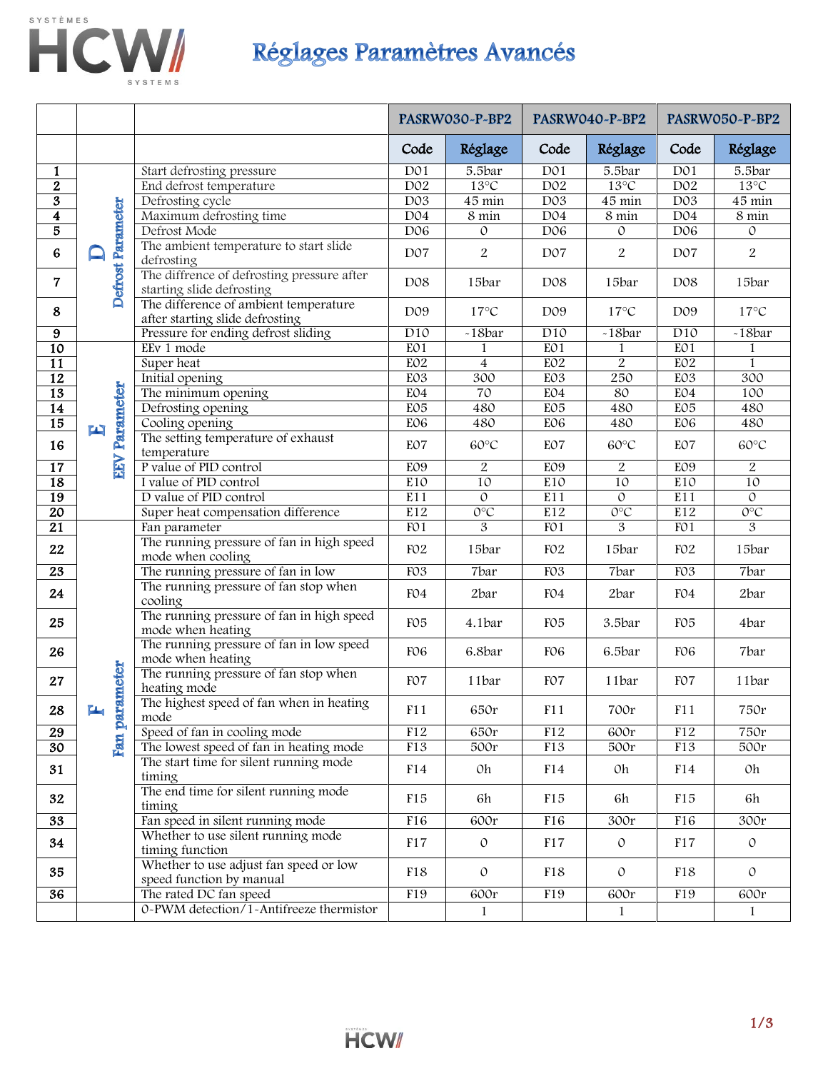

## HCW/ Réglages Paramètres Avancés

|                         |                          |                                                                          | PASRW030~P~BP2   |                 | PASRW040-P-BP2              |                     | PASRW050-P-BP2   |                   |
|-------------------------|--------------------------|--------------------------------------------------------------------------|------------------|-----------------|-----------------------------|---------------------|------------------|-------------------|
|                         |                          |                                                                          | Code             | Réglage         | Code                        | Réglage             | Code             | Réglage           |
| 1                       |                          | Start defrosting pressure                                                | D <sub>01</sub>  | 5.5bar          | D <sub>01</sub>             | 5.5bar              | D <sub>01</sub>  | 5.5bar            |
| $\overline{2}$          |                          | End defrost temperature                                                  | D <sub>02</sub>  | $13^{\circ}C$   | D <sub>02</sub>             | $13^{\circ}$ C      | D02              | $13^{\circ}C$     |
| $\overline{\mathbf{3}}$ |                          | Defrosting cycle                                                         | D03              | 45 min          | D03                         | $\overline{45}$ min | D03              | 45 min            |
| $\overline{\mathbf{4}}$ |                          | Maximum defrosting time                                                  | D <sub>04</sub>  | 8 min           | D <sub>04</sub>             | 8 min               | D04              | $8 \text{ min}$   |
| 5                       |                          | Defrost Mode                                                             | D <sub>06</sub>  | $\circ$         | D <sub>06</sub>             | $\circ$             | D <sub>06</sub>  | $\circ$           |
| $\bf{6}$                | <b>Defrost Parameter</b> | The ambient temperature to start slide<br>defrosting                     | D <sub>07</sub>  | $\overline{2}$  | D07                         | 2                   | D <sub>0</sub> 7 | $\overline{2}$    |
| $\overline{7}$          |                          | The diffrence of defrosting pressure after<br>starting slide defrosting  | D08              | 15bar           | D <sub>08</sub>             | 15bar               | D <sub>08</sub>  | 15bar             |
| 8                       |                          | The difference of ambient temperature<br>after starting slide defrosting | D09              | $17^{\circ}$ C  | D <sub>0</sub> 9            | $17^{\circ}$ C      | D09              | $17^{\circ}$ C    |
| 9                       |                          | Pressure for ending defrost sliding                                      | $\overline{D10}$ | $-18bar$        | $\overline{D10}$            | $-18bar$            | $\overline{D10}$ | $-18bar$          |
| $\overline{10}$         |                          | EEv 1 mode                                                               | EO1              | 1               | EO <sub>1</sub>             |                     | EO <sub>1</sub>  | 1                 |
| $\overline{11}$         |                          | Super heat                                                               | EO <sub>2</sub>  | $\overline{4}$  | EO <sub>2</sub>             | $\overline{2}$      | EO2              | 1                 |
| $\overline{12}$         |                          | Initial opening                                                          | EO <sub>3</sub>  | 300             | EO <sub>3</sub>             | 250                 | EO <sub>3</sub>  | 300               |
| 13                      |                          | The minimum opening                                                      | EO4              | $\overline{70}$ | EO4                         | 80                  | EO4              | 100               |
| $\overline{14}$         |                          | Defrosting opening                                                       | EO5              | 480             | E05                         | 480                 | E05              | 480               |
| $\overline{15}$         | 雪                        | Cooling opening                                                          | EO <sub>6</sub>  | 480             | EO <sub>6</sub>             | 480                 | EO <sub>6</sub>  | 480               |
| 16                      | Parameter                | The setting temperature of exhaust<br>temperature                        | EO7              | $60^{\circ}C$   | EO7                         | 60°C                | EO7              | 60°C              |
| $\overline{17}$         | <b>NEW</b>               | P value of PID control                                                   | EO <sub>9</sub>  | $\overline{2}$  | EO <sub>9</sub>             | 2                   | EO <sub>9</sub>  | $\overline{2}$    |
| $\overline{18}$         |                          | I value of PID control                                                   | E10              | 10              | E10                         | 10                  | E10              | 10                |
| 19                      |                          | D value of PID control                                                   | E11              | $\overline{0}$  | E11                         | $\circ$             | E11              | $\circ$           |
| $\overline{20}$         |                          | Super heat compensation difference                                       | E12              | $O^{\circ}C$    | E12                         | $O^{\circ}C$        | E12              | $O^{\circ}C$      |
| $\overline{21}$         |                          | Fan parameter                                                            | FO1              | 3               | FO1                         | 3                   | FO1              | 3                 |
| 22                      |                          | The running pressure of fan in high speed<br>mode when cooling           | FO <sub>2</sub>  | 15bar           | FO <sub>2</sub>             | 15bar               | FO <sub>2</sub>  | 15bar             |
| $\overline{23}$         |                          | The running pressure of fan in low                                       | FO <sub>3</sub>  | 7bar            | FO <sub>3</sub>             | 7bar                | FO <sub>3</sub>  | 7bar              |
| 24                      |                          | The running pressure of fan stop when<br>cooling                         | FO4              | 2bar            | FO4                         | 2bar                | FO4              | 2bar              |
| 25                      |                          | The running pressure of fan in high speed<br>mode when heating           | FO <sub>5</sub>  | 4.1bar          | FO <sub>5</sub>             | 3.5bar              | FO <sub>5</sub>  | 4bar              |
| 26                      |                          | The running pressure of fan in low speed<br>mode when heating            | FO <sub>6</sub>  | 6.8bar          | F <sub>O</sub> <sup>6</sup> | 6.5bar              | FO <sub>6</sub>  | 7bar              |
| 27                      |                          | The running pressure of fan stop when<br>heating mode                    | FO7              | 11bar           | FO7                         | 11bar               | F <sub>O</sub> 7 | 11bar             |
| 28                      | ۳л                       | The highest speed of fan when in heating<br>mode                         | F11              | 650r            | F11                         | $700\mathrm{r}$     | F11              | 750r              |
| $\overline{29}$         | Fan parameter            | Speed of fan in cooling mode                                             | F12              | 650r            | F12                         | 600r                | F12              | 750r              |
| $\overline{30}$         |                          | The lowest speed of fan in heating mode                                  | F13              | 500r            | F13                         | 500r                | F13              | $\overline{500}r$ |
| 31                      |                          | The start time for silent running mode<br>timing                         | F14              | 0h              | F14                         | 0h                  | F14              | 0h                |
| 32                      |                          | The end time for silent running mode<br>timing                           | F15              | 6h              | F15                         | 6h                  | F <sub>15</sub>  | 6h                |
| $\overline{33}$         |                          | Fan speed in silent running mode                                         | F16              | 600r            | F16                         | 300r                | F16              | 300r              |
| 34                      |                          | Whether to use silent running mode<br>timing function                    | F17              | $\circ$         | F17                         | $\mathcal{O}$       | F17              | $\mathcal{O}$     |
| 35                      |                          | Whether to use adjust fan speed or low<br>speed function by manual       | F18              | $\circ$         | F18                         | $\circ$             | F18              | $\mathcal{O}$     |
| $\overline{36}$         |                          | The rated DC fan speed                                                   | F19              | 600r            | F19                         | 600r                | F19              | 600r              |
|                         |                          | 0-PWM detection/1-Antifreeze thermistor                                  |                  | $\mathbf{1}$    |                             | $\mathbf{1}$        |                  | $\mathbf{1}$      |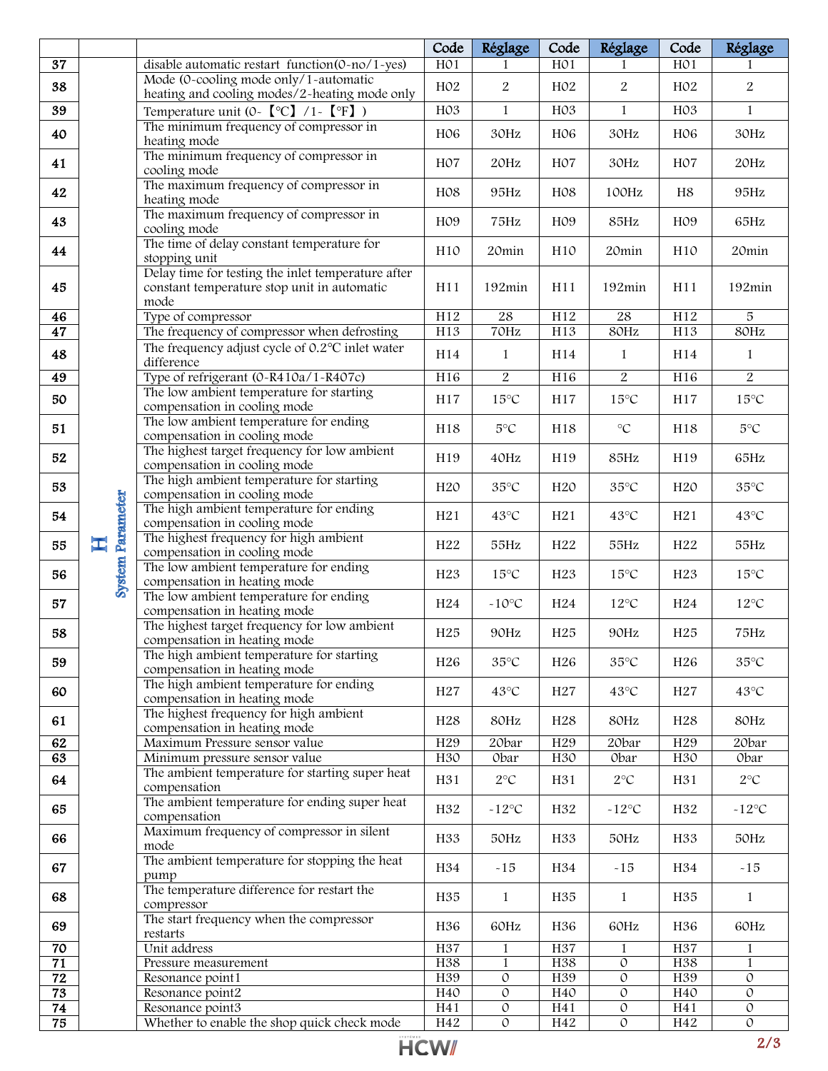|                 |                          |                                                                                                           | Code             | Réglage                | Code             | Réglage               | Code             | Réglage                |
|-----------------|--------------------------|-----------------------------------------------------------------------------------------------------------|------------------|------------------------|------------------|-----------------------|------------------|------------------------|
| $\overline{37}$ |                          | disable automatic restart function(0-no/1-yes)                                                            | H <sub>0</sub> 1 |                        | H <sub>0</sub> 1 |                       | H <sub>0</sub> 1 |                        |
| 38              |                          | Mode (0-cooling mode only/1-automatic<br>heating and cooling modes/2-heating mode only                    | H <sub>02</sub>  | $\boldsymbol{2}$       | H02              | $\overline{2}$        | H <sub>02</sub>  | $\overline{2}$         |
| 39              |                          | Temperature unit (0- $\text{°C}$ ) /1- $\text{°F}$ )                                                      | H <sub>03</sub>  | $\mathbf{1}$           | H03              | $\mathbf{1}$          | H03              | $\mathbf{1}$           |
| 40              |                          | The minimum frequency of compressor in<br>heating mode                                                    | H <sub>06</sub>  | 30Hz                   | H <sub>06</sub>  | 30Hz                  | H <sub>06</sub>  | 30Hz                   |
| 41              |                          | The minimum frequency of compressor in<br>cooling mode                                                    | H <sub>0</sub> 7 | 20Hz                   | H <sub>0</sub> 7 | 30Hz                  | H <sub>0</sub> 7 | 20Hz                   |
| 42              |                          | The maximum frequency of compressor in<br>heating mode                                                    | H <sub>08</sub>  | 95Hz                   | H08              | 100Hz                 | H8               | 95Hz                   |
| 43              |                          | The maximum frequency of compressor in<br>cooling mode                                                    | H <sub>0</sub> 9 | 75Hz                   | H <sub>0</sub> 9 | 85Hz                  | H <sub>0</sub> 9 | 65Hz                   |
| 44              |                          | The time of delay constant temperature for<br>stopping unit                                               | H10              | 20min                  | H10              | 20min                 | H10              | 20min                  |
| 45              |                          | Delay time for testing the inlet temperature after<br>constant temperature stop unit in automatic<br>mode | H11              | 192min                 | H11              | 192min                | H11              | 192min                 |
| 46              |                          | Type of compressor                                                                                        | H12              | $28\,$                 | H12              | $\rm 28$              | H12              | $\sqrt{5}$             |
| 47              |                          | The frequency of compressor when defrosting                                                               | H13              | 70Hz                   | H13              | 80Hz                  | H13              | 80Hz                   |
| 48              |                          | The frequency adjust cycle of 0.2°C inlet water<br>difference                                             | H14              | 1                      | H14              | $\mathbf{1}$          | H14              | $\mathbf{1}$           |
| 49              |                          | Type of refrigerant (0-R410a/1-R407c)                                                                     | H16              | $\overline{2}$         | H <sub>16</sub>  | $\overline{2}$        | H <sub>16</sub>  | $\overline{2}$         |
| 50              |                          | The low ambient temperature for starting<br>compensation in cooling mode                                  | H17              | $15^{\circ}C$          | H17              | $15^{\circ}C$         | H17              | $15^{\circ}C$          |
| 51              |                          | The low ambient temperature for ending<br>compensation in cooling mode                                    | H18              | $5^{\circ}C$           | H18              | $^\circ \text{C}$     | H18              | $5^{\circ}$ C          |
| 52              |                          | The highest target frequency for low ambient<br>compensation in cooling mode                              | H19              | 40Hz                   | H19              | 85Hz                  | H19              | 65Hz                   |
| 53              | Parameter<br>工<br>System | The high ambient temperature for starting<br>compensation in cooling mode                                 | H <sub>20</sub>  | $35^{\circ}$ C         | H <sub>20</sub>  | $35^{\circ}$ C        | H <sub>20</sub>  | $35^{\circ}C$          |
| 54              |                          | The high ambient temperature for ending<br>compensation in cooling mode                                   | H21              | 43°C                   | H21              | $43^{\circ}C$         | H21              | 43°C                   |
| 55              |                          | The highest frequency for high ambient<br>compensation in cooling mode                                    | H <sub>22</sub>  | 55Hz                   | H <sub>22</sub>  | 55Hz                  | H <sub>22</sub>  | 55Hz                   |
| 56              |                          | The low ambient temperature for ending<br>compensation in heating mode                                    | H23              | $15^{\circ}C$          | H <sub>23</sub>  | $15^{\circ}C$         | H <sub>23</sub>  | $15^{\circ}C$          |
| 57              |                          | The low ambient temperature for ending<br>compensation in heating mode                                    | H <sub>24</sub>  | $-10^{\circ}C$         | H <sub>24</sub>  | $12^{\circ}C$         | H <sub>24</sub>  | $12^{\circ}\textrm{C}$ |
| 58              |                          | The highest target frequency for low ambient<br>compensation in heating mode                              | H <sub>25</sub>  | 90Hz                   | H <sub>25</sub>  | 90Hz                  | H <sub>25</sub>  | 75Hz                   |
| 59              |                          | The high ambient temperature for starting<br>compensation in heating mode                                 | H26              | $35^{\circ}$ C         | H <sub>26</sub>  | $35^{\circ}$ C        | H26              | $35^{\circ}$ C         |
| 60              |                          | The high ambient temperature for ending<br>compensation in heating mode                                   | H <sub>27</sub>  | $43^{\circ}\textrm{C}$ | H <sub>27</sub>  | $43^{\circ}C$         | H <sub>27</sub>  | 43°C                   |
| 61              |                          | The highest frequency for high ambient<br>compensation in heating mode                                    | H <sub>28</sub>  | 80Hz                   | H <sub>28</sub>  | 80Hz                  | H <sub>28</sub>  | 80Hz                   |
| 62              |                          | Maximum Pressure sensor value                                                                             | H29              | 20bar                  | H29              | 20bar                 | H29              | 20bar                  |
| 63              |                          | Minimum pressure sensor value                                                                             | H30              | Obar                   | H30              | Obar                  | H30              | Obar                   |
| 64              |                          | The ambient temperature for starting super heat<br>compensation                                           | H31              | $2^{\circ}\mathrm{C}$  | H31              | $2^{\circ}\mathrm{C}$ | H31              | $2^{\circ}C$           |
| 65              |                          | The ambient temperature for ending super heat<br>compensation                                             | H32              | -12°C                  | H32              | $-12\degree C$        | H32              | $-12^{\circ}C$         |
| 66              |                          | Maximum frequency of compressor in silent<br>mode                                                         | H33              | 50Hz                   | H33              | 50Hz                  | H33              | 50Hz                   |
| 67              |                          | The ambient temperature for stopping the heat<br>pump                                                     | H34              | $-15$                  | H34              | $-15$                 | H34              | $-15$                  |
| 68              |                          | The temperature difference for restart the<br>compressor                                                  | H35              | $\mathbf{1}$           | H35              | 1                     | H35              | $\mathbf{1}$           |
| 69              |                          | The start frequency when the compressor<br>restarts                                                       | H36              | 60Hz                   | H36              | 60Hz                  | H36              | 60Hz                   |
| 70              |                          | Unit address                                                                                              | H37              | $\mathbf{1}$           | H37              | $\mathbf{1}$          | H37              | $\mathbf{1}$           |
| $\overline{71}$ |                          | Pressure measurement                                                                                      | H38              | $\mathbf{1}$           | H38              | $\mathcal{O}$         | H38              | $\mathbf{1}$           |
| $\overline{72}$ |                          | Resonance point1                                                                                          | H <sub>39</sub>  | 0                      | H <sub>39</sub>  | $\overline{0}$        | H <sub>39</sub>  | $\overline{0}$         |
| $\overline{73}$ |                          | Resonance point2                                                                                          | H40              | $\mathcal O$           | H40              | $\mathcal O$          | H40              | $\circ$                |
| 74              |                          | Resonance point3                                                                                          | H41              | $\mathcal{O}$          | H41              | $\mathcal O$          | H41              | $\mathcal{O}$          |
| 75              |                          | Whether to enable the shop quick check mode                                                               | H42              | $\mathcal O$           | H42              | $\mathcal O$          | H42              | $\circ$                |